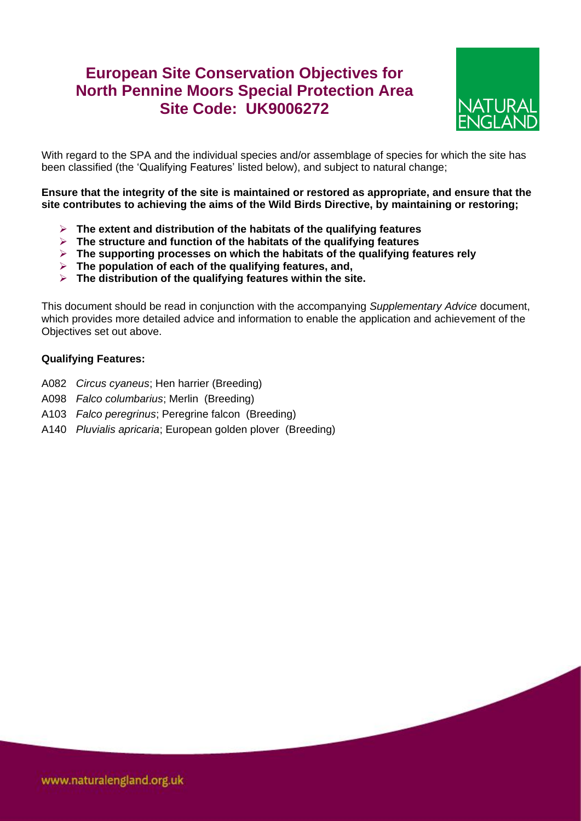## **European Site Conservation Objectives for North Pennine Moors Special Protection Area Site Code: UK9006272**



With regard to the SPA and the individual species and/or assemblage of species for which the site has been classified (the 'Qualifying Features' listed below), and subject to natural change;

**Ensure that the integrity of the site is maintained or restored as appropriate, and ensure that the site contributes to achieving the aims of the Wild Birds Directive, by maintaining or restoring;**

- **The extent and distribution of the habitats of the qualifying features**
- **The structure and function of the habitats of the qualifying features**
- **The supporting processes on which the habitats of the qualifying features rely**
- **The population of each of the qualifying features, and,**
- **The distribution of the qualifying features within the site.**

This document should be read in conjunction with the accompanying *Supplementary Advice* document, which provides more detailed advice and information to enable the application and achievement of the Objectives set out above.

## **Qualifying Features:**

- A082 *Circus cyaneus*; Hen harrier (Breeding)
- A098 *Falco columbarius*; Merlin (Breeding)
- A103 *Falco peregrinus*; Peregrine falcon (Breeding)
- A140 *Pluvialis apricaria*; European golden plover (Breeding)